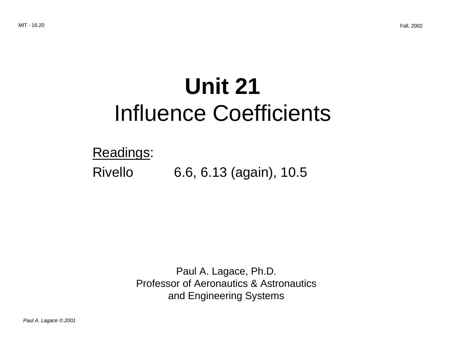# **Unit 21**  Influence Coefficients

### Readings:

## Rivello 6.6, 6.13 (again), 10.5

Paul A. Lagace, Ph.D. Professor of Aeronautics & Astronautics and Engineering Systems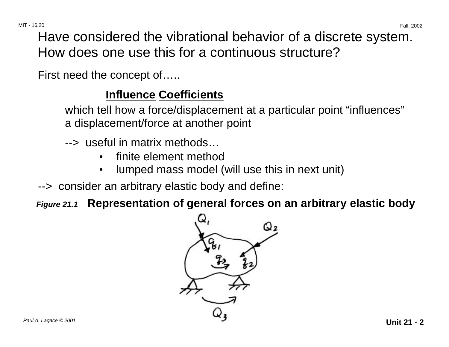Have considered the vibrational behavior of a discrete system. How does one use this for a continuous structure?

First need the concept of…..

### **Influence Coefficients**

which tell how a force/displacement at a particular point "influences" a displacement/force at another point

- --> useful in matrix methods…
	- finite element method
	- lumped mass model (will use this in next unit)
- --> consider an arbitrary elastic body and define:
- **Figure 21.1 Representation of general forces on an arbitrary elastic body**

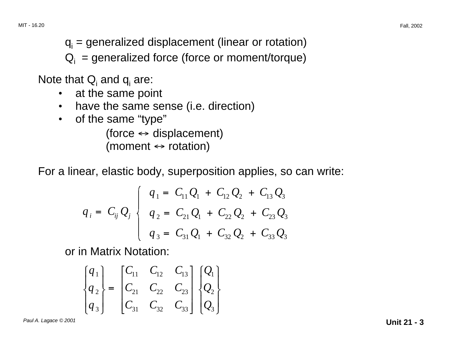$q_i$  = generalized displacement (linear or rotation)

 $Q_i$  = generalized force (force or moment/torque)

Note that  $Q_i$  and  $q_i$  are:

- at the same point
- have the same sense (i.e. direction)
- of the same "type"

 $(force \leftrightarrow displacement)$ (moment  $\leftrightarrow$  rotation)

For a linear, elastic body, superposition applies, so can write:

$$
q_{i} = C_{ij} Q_{j} \begin{cases} q_{1} = C_{11} Q_{1} + C_{12} Q_{2} + C_{13} Q_{3} \\ q_{2} = C_{21} Q_{1} + C_{22} Q_{2} + C_{23} Q_{3} \\ q_{3} = C_{31} Q_{1} + C_{32} Q_{2} + C_{33} Q_{3} \end{cases}
$$

or in Matrix Notation:

$$
\begin{Bmatrix} q_1 \\ q_2 \\ q_3 \end{Bmatrix} = \begin{bmatrix} C_{11} & C_{12} & C_{13} \\ C_{21} & C_{22} & C_{23} \\ C_{31} & C_{32} & C_{33} \end{bmatrix} \begin{Bmatrix} Q_1 \\ Q_2 \\ Q_3 \end{Bmatrix}
$$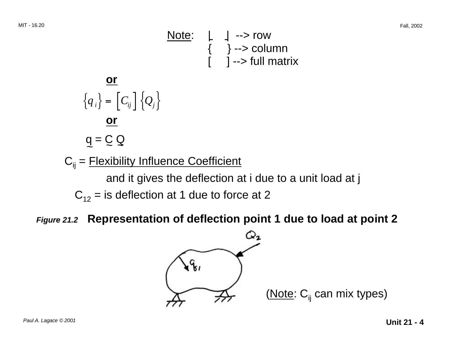Note: | | --> row { } --> column [ ] --> full matrix

$$
\{q_i\} = [C_{ij}] \{Q_j\}
$$
  

$$
\underline{\text{or}}
$$
  

$$
q = \underline{C} \underline{Q}
$$

**or** 

 $C_{ii}$  = Flexibility Influence Coefficient

and it gives the deflection at i due to a unit load at j

 $C_{12}$  = is deflection at 1 due to force at 2

**Figure 21.2 Representation of deflection point 1 due to load at point 2** 

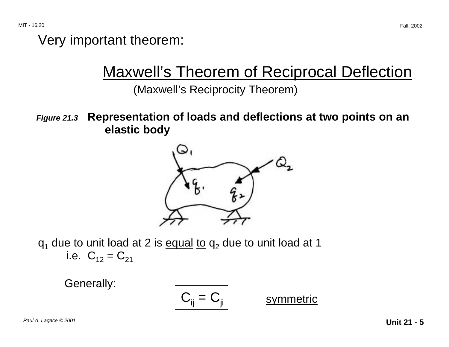### Very important theorem:

# Maxwell's Theorem of Reciprocal Deflection

(Maxwell's Reciprocity Theorem)

**Figure 21.3 Representation of loads and deflections at two points on an elastic body** 



 $q_1$  due to unit load at 2 is equal to  $q_2$  due to unit load at 1 i.e.  $C_{12} = C_{21}$ 

Generally:

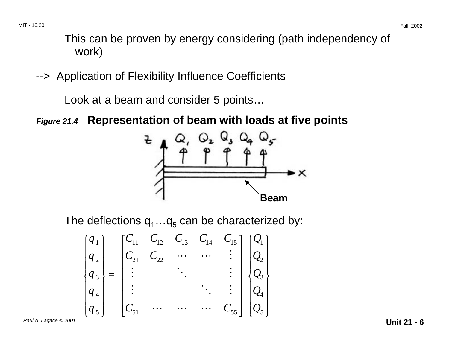This can be proven by energy considering (path independency of work)

--> Application of Flexibility Influence Coefficients

Look at a beam and consider 5 points…

**Figure 21.4 Representation of beam with loads at five points** 



The deflections  $q_1...q_5$  can be characterized by:

$$
\begin{bmatrix} q_1 \\ q_2 \\ q_3 \\ q_4 \\ q_5 \end{bmatrix} = \begin{bmatrix} C_{11} & C_{12} & C_{13} & C_{14} & C_{15} \\ C_{21} & C_{22} & \cdots & C_{14} & \vdots \\ \vdots & \vdots & \ddots & \vdots \\ C_{51} & \cdots & \cdots & C_{55} \end{bmatrix} \begin{bmatrix} Q_1 \\ Q_2 \\ Q_3 \\ Q_4 \\ Q_5 \end{bmatrix}
$$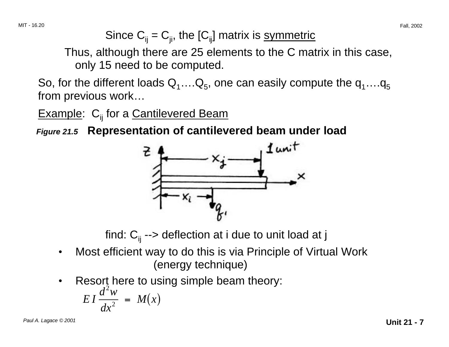Since  $C_{ii} = C_{ii}$ , the  $[C_{ii}]$  matrix is symmetric

Thus, although there are 25 elements to the C matrix in this case, only 15 need to be computed.

So, for the different loads  $Q_1...Q_5$ , one can easily compute the  $q_1...q_5$ from previous work…

**Example:**  $C_{ii}$  for a **Cantilevered Beam** 

**Figure 21.5 Representation of cantilevered beam under load** 



find:  $C_{ii}$  --> deflection at i due to unit load at j

- Most efficient way to do this is via Principle of Virtual Work (energy technique)
- Resort here to using simple beam theory:

$$
EI\frac{d^2w}{dx^2} = M(x)
$$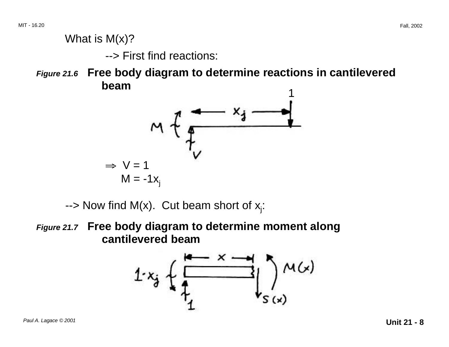### What is M(x)?

--> First find reactions:

**Figure 21.6 Free body diagram to determine reactions in cantilevered beam** <sup>1</sup>



--> Now find M(x). Cut beam short of  $x_i$ :

**Figure 21.7 Free body diagram to determine moment along cantilevered beam** 

$$
1-x_{j} \leftarrow \frac{1}{1-\frac{1}{1-\frac{1}{1-\frac{1}{1-\frac{1}{1-\frac{1}{1-\frac{1}{1-\frac{1}{1-\frac{1}{1-\frac{1}{1-\frac{1}{1-\frac{1}{1-\frac{1}{1-\frac{1}{1-\frac{1}{1-\frac{1}{1-\frac{1}{1-\frac{1}{1-\frac{1}{1-\frac{1}{1-\frac{1}{1-\frac{1}{1-\frac{1}{1-\frac{1}{1-\frac{1}{1-\frac{1}{1-\frac{1}{1-\frac{1}{1-\frac{1}{1-\frac{1}{1-\frac{1}{1-\frac{1}{1-\frac{1}{1-\frac{1}{1-\frac{1}{1-\frac{1}{1-\frac{1}{1-\frac{1}{1-\frac{1}{1-\frac{1}{1-\frac{1}{1-\frac{1}{1-\frac{1}{1-\frac{1}{1-\frac{1}{1-\frac{1}{1-\frac{1}{1-\frac{1}{1-\frac{1}{1-\frac{1}{1-\frac{1}{1-\frac{1}{1-\frac{1}{1-\frac{1}{1-\frac{1}{1-\frac{1}{1-\frac{1}{1-\frac{1}{1-\frac{1}{1-\frac{1}{1-\frac{1}{1-\frac{1}{1-\frac{1}{1-\frac{1}{1-\frac{1}{1-\frac{1}{1-\frac{1}{1-\frac{1}{1-\frac{1}{1-\frac{1}{1-\frac{1}{1-\frac{1}{1-\frac{1}{1-\frac{1}{1-\frac{1}{1-\frac{1}{1-\frac{1}{1-\frac{1}{1-\frac{1}{1-\frac{1}{1-\frac{1}{1-\frac{1}{1-\frac{1}{1-\frac{1}{1-\frac{1}{1-\frac{1}{1-\frac{1}{1-\frac{1}{1-\frac{1}{1-\frac{1}{1-\frac{1}{1-\frac{1}{1-\frac{1}{1-\frac{1}{1-\frac{1}{1-\frac{1}{1-\frac{1}{1-\frac{1}{1-\frac{1}{1-\frac{1}{1-\frac{1}{1-\frac{1}{1-\frac{1}{1-\frac{1}{1-\frac{1}{1-\frac{1}{1-\frac{1}{1-\frac{1}{1-\frac{1}{1-\frac{1}{1-\frac{1}{1-\frac{1}{1-\frac{1}{1-\frac{1}{1-\frac{1}{1-\frac{1}{1-\frac{1}{1-\frac{1}{1-\frac{1}{1-\frac{1}{1-\frac{1}{1-\frac{1}{1-\frac{1}{1-\frac{1}{1-\frac{1}{1-\
$$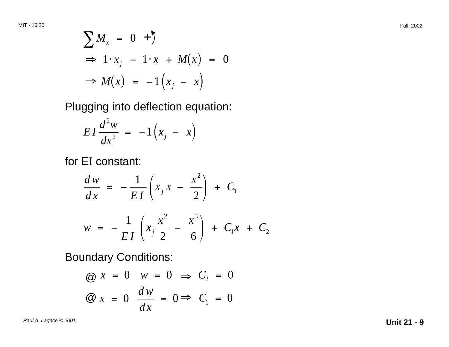$$
\sum M_x = 0 +
$$
  
\n
$$
\Rightarrow 1 \cdot x_j - 1 \cdot x + M(x) = 0
$$
  
\n
$$
\Rightarrow M(x) = -1 (x_j - x)
$$

Plugging into deflection equation:

$$
EI\frac{d^2w}{dx^2} = -1\left(x_j - x\right)
$$

for E I constant:

$$
\frac{dw}{dx} = -\frac{1}{EI} \left( x_j x - \frac{x^2}{2} \right) + C_1
$$
  

$$
w = -\frac{1}{EI} \left( x_j \frac{x^2}{2} - \frac{x^3}{6} \right) + C_1 x + C_2
$$

Boundary Conditions:

$$
\begin{aligned}\n\textcircled{a} \ x &= 0 \quad w = 0 \implies C_2 = 0 \\
\textcircled{a} \ x &= 0 \quad \frac{dw}{dx} = 0 \implies C_1 = 0\n\end{aligned}
$$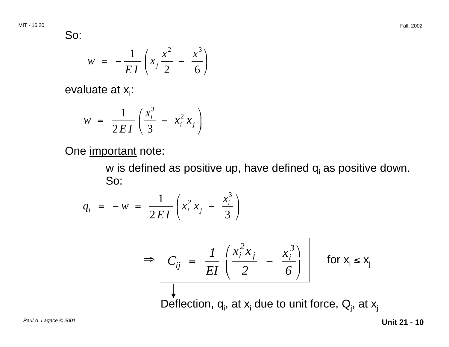So:

$$
w = -\frac{1}{EI} \left( x_j \frac{x^2}{2} - \frac{x^3}{6} \right)
$$

evaluate at  $x_i$ :

$$
w = \frac{1}{2EI} \left( \frac{x_i^3}{3} - x_i^2 x_j \right)
$$

One important note:

w is defined as positive up, have defined  $q_i$  as positive down. So:

$$
q_i = -w = \frac{1}{2EI} \left( x_i^2 x_j - \frac{x_i^3}{3} \right)
$$

$$
\Rightarrow \boxed{C_{ij} = \frac{1}{EI} \left( \frac{x_i^2 x_j}{2} - \frac{x_i^3}{6} \right)}
$$
 for  $x_i \le x_j$ 

Deflection,  $q_i$ , at  $x_i$  due to unit force,  $Q_i$ , at  $x_j$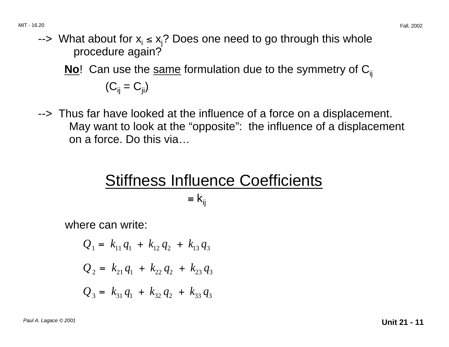--> What about for  $x_i \le x_i$ ? Does one need to go through this whole procedure again?

No<sup>!</sup> Can use the same formulation due to the symmetry of C<sub>ij</sub>  $(C_{ii} = C_{ii})$ 

--> Thus far have looked at the influence of a force on a displacement. May want to look at the "opposite": the influence of a displacement on a force. Do this via…

# Stiffness Influence Coefficients  $=$   $k_{ii}$

where can write:

$$
Q_1 = k_{11}q_1 + k_{12}q_2 + k_{13}q_3
$$
  

$$
Q_2 = k_{21}q_1 + k_{22}q_2 + k_{23}q_3
$$
  

$$
Q_3 = k_{31}q_1 + k_{32}q_2 + k_{33}q_3
$$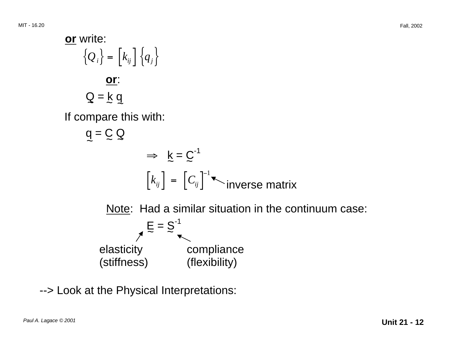

--> Look at the Physical Interpretations: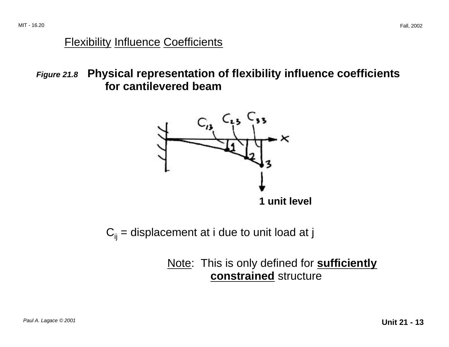#### Flexibility Influence Coefficients

**Figure 21.8 Physical representation of flexibility influence coefficients for cantilevered beam** 



 $C_{ii}$  = displacement at i due to unit load at j

Note: This is only defined for **sufficiently constrained** structure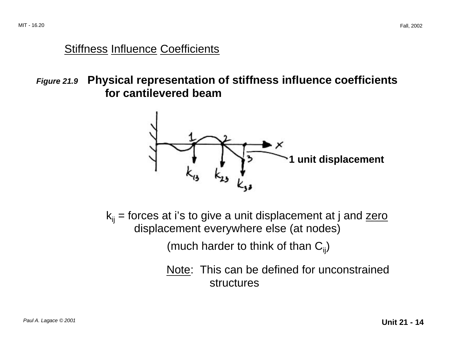### **Stiffness Influence Coefficients**

**Figure 21.9 Physical representation of stiffness influence coefficients for cantilevered beam** 



 $k_{ii}$  = forces at i's to give a unit displacement at j and zero displacement everywhere else (at nodes)

(much harder to think of than  $C_{ii}$ )

Note: This can be defined for unconstrained structures